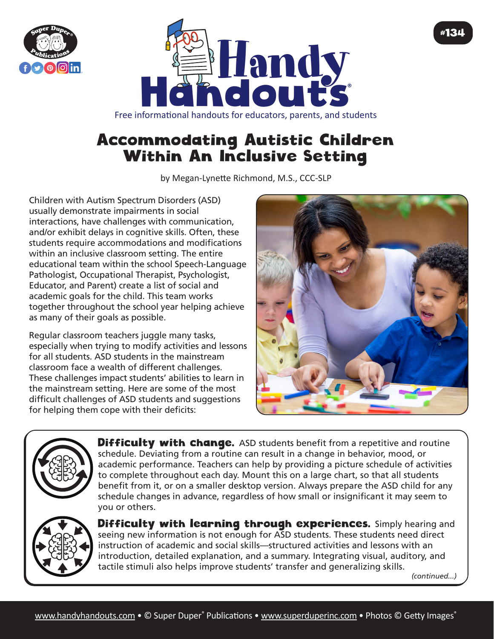



## Accommodating Autistic Children Within An Inclusive Setting

by Megan-Lynette Richmond, M.S., CCC-SLP

Children with Autism Spectrum Disorders (ASD) usually demonstrate impairments in social interactions, have challenges with communication, and/or exhibit delays in cognitive skills. Often, these students require accommodations and modifications within an inclusive classroom setting. The entire educational team within the school Speech-Language Pathologist, Occupational Therapist, Psychologist, Educator, and Parent) create a list of social and academic goals for the child. This team works together throughout the school year helping achieve as many of their goals as possible.

Regular classroom teachers juggle many tasks, especially when trying to modify activities and lessons for all students. ASD students in the mainstream classroom face a wealth of different challenges. These challenges impact students' abilities to learn in the mainstream setting. Here are some of the most difficult challenges of ASD students and suggestions for helping them cope with their deficits:





**Difficulty with change.** ASD students benefit from a repetitive and routine schedule. Deviating from a routine can result in a change in behavior, mood, or academic performance. Teachers can help by providing a picture schedule of activities to complete throughout each day. Mount this on a large chart, so that all students benefit from it, or on a smaller desktop version. Always prepare the ASD child for any schedule changes in advance, regardless of how small or insignificant it may seem to you or others.



Difficulty with learning through experiences. Simply hearing and seeing new information is not enough for ASD students. These students need direct instruction of academic and social skills—structured activities and lessons with an introduction, detailed explanation, and a summary. Integrating visual, auditory, and tactile stimuli also helps improve students' transfer and generalizing skills.

*(continued...)*

#134